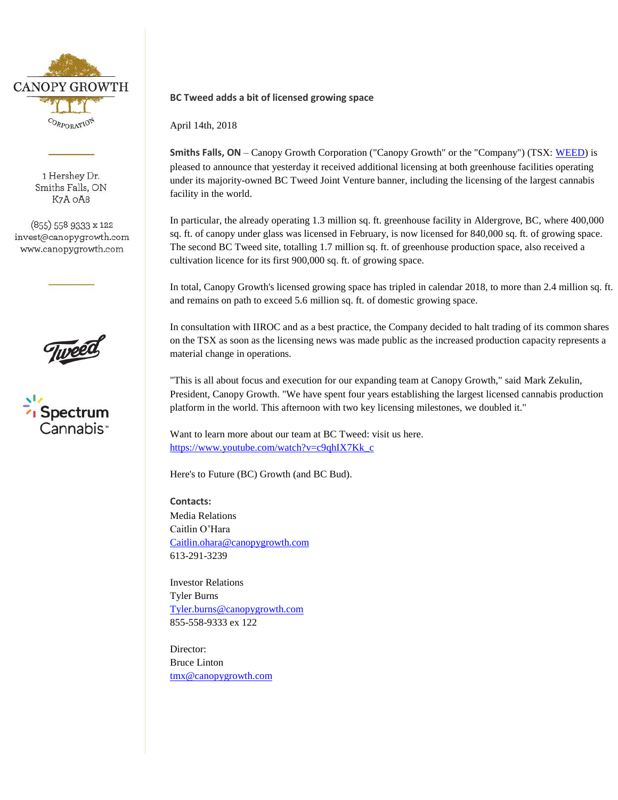

1 Hershey Dr. Smiths Falls, ON K7A OA8

(855) 558 9333 x 122 invest@canopygrowth.com www.canopygrowth.com





## **BC Tweed adds a bit of licensed growing space**

April 14th, 2018

**Smiths Falls, ON** – Canopy Growth Corporation ("Canopy Growth" or the "Company") (TSX: [WEED\)](http://studio-5.financialcontent.com/prnews?Page=Quote&Ticker=WEED) is pleased to announce that yesterday it received additional licensing at both greenhouse facilities operating under its majority-owned BC Tweed Joint Venture banner, including the licensing of the largest cannabis facility in the world.

In particular, the already operating 1.3 million sq. ft. greenhouse facility in Aldergrove, BC, where 400,000 sq. ft. of canopy under glass was licensed in February, is now licensed for 840,000 sq. ft. of growing space. The second BC Tweed site, totalling 1.7 million sq. ft. of greenhouse production space, also received a cultivation licence for its first 900,000 sq. ft. of growing space.

In total, Canopy Growth's licensed growing space has tripled in calendar 2018, to more than 2.4 million sq. ft. and remains on path to exceed 5.6 million sq. ft. of domestic growing space.

In consultation with IIROC and as a best practice, the Company decided to halt trading of its common shares on the TSX as soon as the licensing news was made public as the increased production capacity represents a material change in operations.

"This is all about focus and execution for our expanding team at Canopy Growth," said Mark Zekulin, President, Canopy Growth. "We have spent four years establishing the largest licensed cannabis production platform in the world. This afternoon with two key licensing milestones, we doubled it."

Want to learn more about our team at BC Tweed: visit us here. [https://www.youtube.com/watch?v=c9qhIX7Kk\\_c](https://www.youtube.com/watch?v=c9qhIX7Kk_c)

Here's to Future (BC) Growth (and BC Bud).

**Contacts:** Media Relations Caitlin O'Hara [Caitlin.ohara@canopygrowth.com](mailto:Caitlin.ohara@canopygrowth.com) 613-291-3239

Investor Relations Tyler Burns [Tyler.burns@canopygrowth.com](mailto:Tyler.burns@canopygrowth.com) 855-558-9333 ex 122

Director: Bruce Linton [tmx@canopygrowth.com](mailto:tmx@canopygrowth.com)